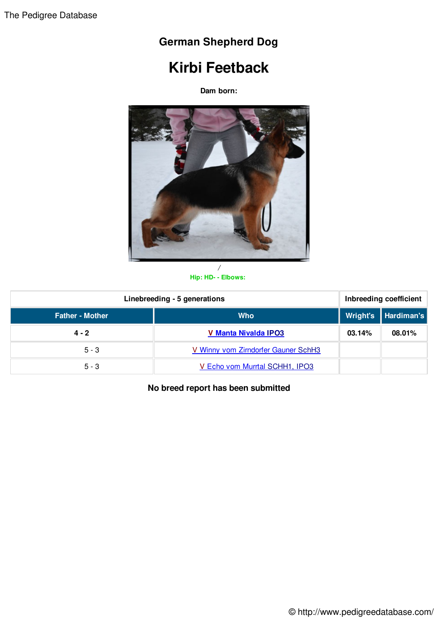## **German Shepherd Dog**

## **Kirbi Feetback**

**Dam born:**



**Hip: HD- - Elbows:**

| Linebreeding - 5 generations |                                     | Inbreeding coefficient |                       |
|------------------------------|-------------------------------------|------------------------|-----------------------|
| <b>Father - Mother</b>       | <b>Who</b>                          |                        | Wright's   Hardiman's |
| $4 - 2$                      | <b>V Manta Nivalda IPO3</b>         | 03.14%                 | 08.01%                |
| $5 - 3$                      | V Winny vom Zirndorfer Gauner SchH3 |                        |                       |
| $5 - 3$                      | V Echo vom Murrtal SCHH1, IPO3      |                        |                       |

**No breed report has been submitted**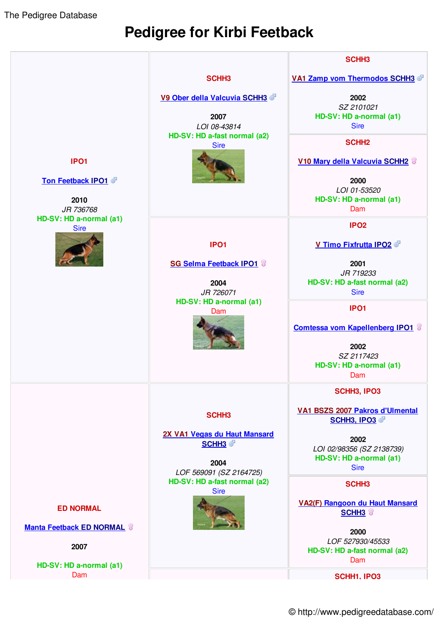The Pedigree Database

## **Pedigree for Kirbi Feetback**



© http://www.pedigreedatabase.com/